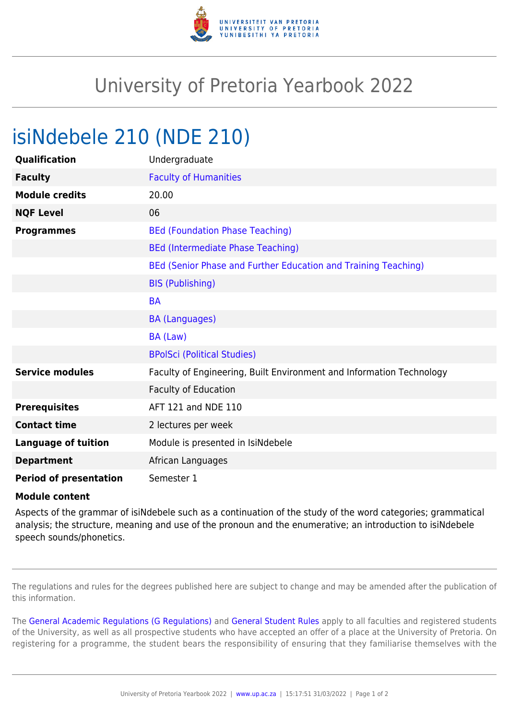

## University of Pretoria Yearbook 2022

## isiNdebele 210 (NDE 210)

| Qualification                 | Undergraduate                                                        |
|-------------------------------|----------------------------------------------------------------------|
| <b>Faculty</b>                | <b>Faculty of Humanities</b>                                         |
| <b>Module credits</b>         | 20.00                                                                |
| <b>NQF Level</b>              | 06                                                                   |
| <b>Programmes</b>             | <b>BEd (Foundation Phase Teaching)</b>                               |
|                               | <b>BEd (Intermediate Phase Teaching)</b>                             |
|                               | BEd (Senior Phase and Further Education and Training Teaching)       |
|                               | <b>BIS (Publishing)</b>                                              |
|                               | <b>BA</b>                                                            |
|                               | <b>BA (Languages)</b>                                                |
|                               | BA (Law)                                                             |
|                               | <b>BPolSci (Political Studies)</b>                                   |
| <b>Service modules</b>        | Faculty of Engineering, Built Environment and Information Technology |
|                               | <b>Faculty of Education</b>                                          |
| <b>Prerequisites</b>          | AFT 121 and NDE 110                                                  |
| <b>Contact time</b>           | 2 lectures per week                                                  |
| <b>Language of tuition</b>    | Module is presented in IsiNdebele                                    |
| <b>Department</b>             | African Languages                                                    |
| <b>Period of presentation</b> | Semester 1                                                           |

## **Module content**

Aspects of the grammar of isiNdebele such as a continuation of the study of the word categories; grammatical analysis; the structure, meaning and use of the pronoun and the enumerative; an introduction to isiNdebele speech sounds/phonetics.

The regulations and rules for the degrees published here are subject to change and may be amended after the publication of this information.

The [General Academic Regulations \(G Regulations\)](https://www.up.ac.za/faculty-of-education/yearbooks/2022/rules/view/REG) and [General Student Rules](https://www.up.ac.za/faculty-of-education/yearbooks/2022/rules/view/RUL) apply to all faculties and registered students of the University, as well as all prospective students who have accepted an offer of a place at the University of Pretoria. On registering for a programme, the student bears the responsibility of ensuring that they familiarise themselves with the